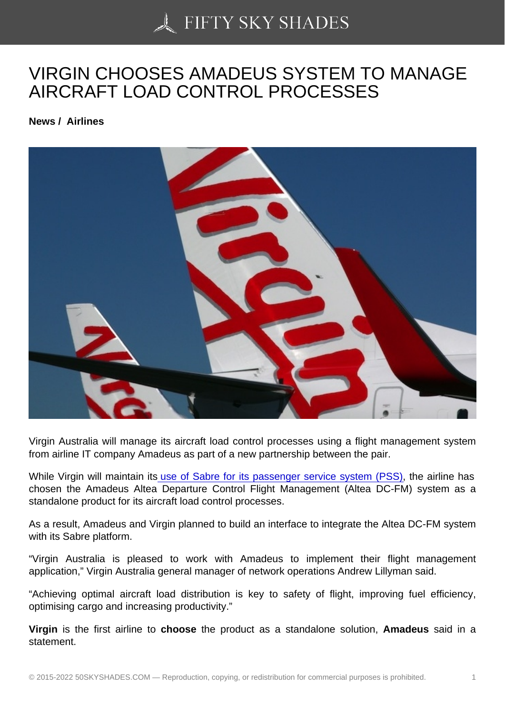## [VIRGIN CHOOSES AM](https://50skyshades.com)ADEUS SYSTEM TO MANAGE AIRCRAFT LOAD CONTROL PROCESSES

News / Airlines

Virgin Australia will manage its aircraft load control processes using a flight management system from airline IT company Amadeus as part of a new partnership between the pair.

While Virgin will maintain its use of Sabre for its passenger service system (PSS), the airline has chosen the Amadeus Altea Departure Control Flight Management (Altea DC-FM) system as a standalone product for its aircraft load control processes.

As a result, Amadeus and V[irgin planned to build an interface to integrate the Altea](http://australianaviation.com.au/2015/07/virgin-australia-expands-sabre-agreement/) DC-FM system with its Sabre platform.

"Virgin Australia is pleased to work with Amadeus to implement their flight management application," Virgin Australia general manager of network operations Andrew Lillyman said.

"Achieving optimal aircraft load distribution is key to safety of flight, improving fuel efficiency, optimising cargo and increasing productivity."

Virgin is the first airline to choose the product as a standalone solution, Amadeus said in a statement.